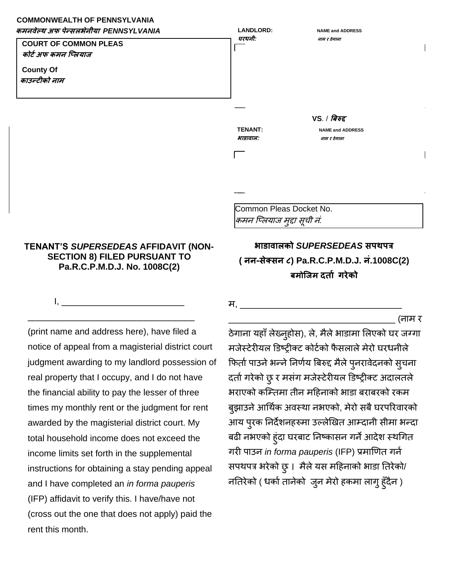## **COMMONWEALTH OF PENNSYLVANIA**



## **TENANT'S** *SUPERSEDEAS* **AFFIDAVIT (NON-SECTION 8) FILED PURSUANT TO Pa.R.C.P.M.D.J. No. 1008C(2)**

I, \_\_\_\_\_\_\_\_\_\_\_\_\_\_\_\_\_\_\_\_\_\_\_\_\_

\_\_\_\_\_\_\_\_\_\_\_\_\_\_\_\_\_\_\_\_\_\_\_\_\_\_\_\_\_\_\_\_\_\_

(print name and address here), have filed a notice of appeal from a magisterial district court judgment awarding to my landlord possession of real property that I occupy, and I do not have the financial ability to pay the lesser of three times my monthly rent or the judgment for rent awarded by the magisterial district court. My total household income does not exceed the income limits set forth in the supplemental instructions for obtaining a stay pending appeal and I have completed an *in forma pauperis*  (IFP) affidavit to verify this. I have/have not (cross out the one that does not apply) paid the rent this month.

**भाडावालको** *SUPERSEDEAS* **सपथपत्र ( नन-सेक्सन ८) Pa.R.C.P.M.D.J. नं.1008C(2) िमोप्जम दर्ाट गरेको**

म, \_\_\_\_\_\_\_\_\_\_\_\_\_\_\_\_\_\_\_\_\_\_\_\_\_\_\_\_\_\_\_\_\_

\_\_\_\_\_\_\_\_\_\_\_\_\_\_\_\_\_\_\_\_\_\_\_\_\_\_\_\_\_\_\_\_\_\_ (नाम र

ठेगाना यहाँ लेख्नुहोस), ले, मैले भाडामा लिएको घर जग्गा मजेस्टेरीयल डिष्ट्रीक्ट कोर्टको फैसलाले मेरो घरधनीले फिर्ता पाउने भन्ने निर्णय बिरुद्द मैले पुनरावेदनको सुचना दर्ता गरेको छु र मसंग मजेस्टेरीयल डिष्ट्रीक्ट अदालतले भराएको कम्तिमा तीन महिनाको भाडा बराबरको रकम बुझाउने आर्थिक अवस्था नभएको, मेरो सबै घरपरिवारको आय पुरक ननदेशनहरुमा उल्लेखिर् आतदानी सीमा भन्दा बढी नभएको हुंदा घरबाट निष्कासन गर्ने आदेश स्थगित गरी पाउन *in forma pauperis* (IFP) प्रमाणित गर्न सपथपत्र भरेको छु। मैलेयस महहनाको भाडा नर्रेको/ नतिरेको (धर्का तानेको जुन मेरो हकमा लागु हुँदैन )